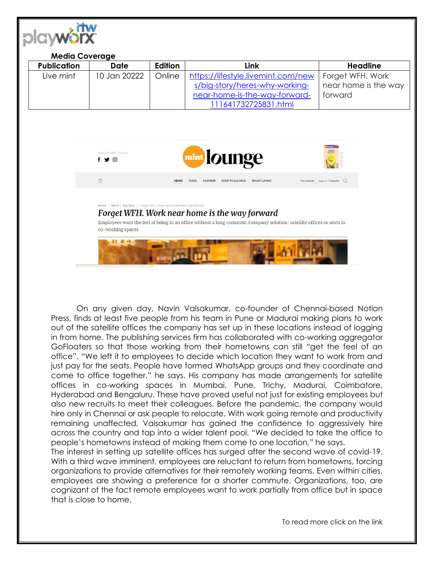| <b>Publication</b> | Date                                                                    | <b>Edition</b> | Link                                                                                                                          | <b>Headline</b>                                     |  |
|--------------------|-------------------------------------------------------------------------|----------------|-------------------------------------------------------------------------------------------------------------------------------|-----------------------------------------------------|--|
| Live mint          | 10 Jan 20222                                                            | Online         | https://lifestyle.livemint.com/new<br>s/big-story/heres-why-working-<br>near-home-is-the-way-forward-<br>111641732725831.html | Forget WFH. Work<br>near home is the way<br>forward |  |
|                    |                                                                         |                |                                                                                                                               |                                                     |  |
|                    |                                                                         |                |                                                                                                                               |                                                     |  |
|                    | FOLLOW MINT LOUNGE                                                      |                |                                                                                                                               |                                                     |  |
|                    | $f \vee \emptyset$                                                      |                | <b>minu lounge</b>                                                                                                            |                                                     |  |
|                    | $\equiv$                                                                | <b>NEWS</b>    | FOOD<br><b>FASHION</b><br>HOW TO LOUNGE SMART LIVING                                                                          | Newsletter Log In / Register Q                      |  |
|                    |                                                                         |                |                                                                                                                               |                                                     |  |
|                    | Home > News > Big Story > Forget WFH. Work near home is the way forward |                | Forget WFH. Work near home is the way forward                                                                                 |                                                     |  |
|                    | co-working spaces                                                       |                | Employees want the feel of being in an office without a long commute. Company solution: satellite offices or seats in         |                                                     |  |

On any given day, Navin Valsakumar, co-founder of Chennai-based Notion Press, finds at least five people from his team in Pune or Madurai making plans to work out of the satellite offices the company has set up in these locations instead of logging in from home. The publishing services firm has collaborated with co-working aggregator GoFloaters so that those working from their hometowns can still "get the feel of an office". "We left it to employees to decide which location they want to work from and just pay for the seats. People have formed WhatsApp groups and they coordinate and come to office together," he says. His company has made arrangements for satellite offices in co-working spaces in Mumbai, Pune, Trichy, Madurai, Coimbatore, Hyderabad and Bengaluru. These have proved useful not just for existing employees but also new recruits to meet their colleagues. Before the pandemic, the company would hire only in Chennai or ask people to relocate. With work going remote and productivity remaining unaffected, Valsakumar has gained the confidence to aggressively hire across the country and tap into a wider talent pool. "We decided to take the office to people's hometowns instead of making them come to one location," he says. The interest in setting up satellite offices has surged after the second wave of covid-19. With a third wave imminent, employees are reluctant to return from hometowns, forcing organizations to provide alternatives for their remotely working teams. Even within cities, employees are showing a preference for a shorter commute. Organizations, too, are cognizant of the fact remote employees want to work partially from office but in space

that is close to home.

**CONSTRUCTION** 

To read more click on the link